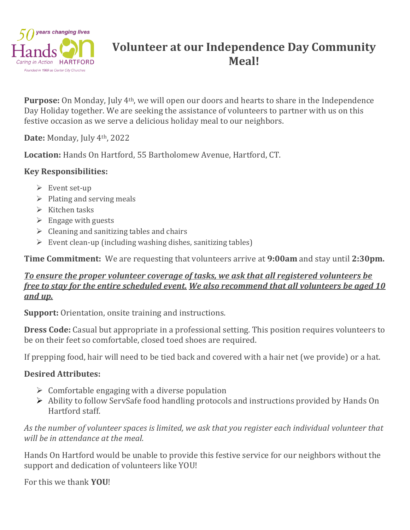

# **Volunteer at our Independence Day Community Meal!**

**Purpose:** On Monday, July 4th, we will open our doors and hearts to share in the Independence Day Holiday together. We are seeking the assistance of volunteers to partner with us on this festive occasion as we serve a delicious holiday meal to our neighbors.

**Date:** Monday, July 4th, 2022

**Location:** Hands On Hartford, 55 Bartholomew Avenue, Hartford, CT.

## **Key Responsibilities:**

- $\triangleright$  Event set-up
- $\triangleright$  Plating and serving meals
- ➢ Kitchen tasks
- $\triangleright$  Engage with guests
- $\triangleright$  Cleaning and sanitizing tables and chairs
- $\triangleright$  Event clean-up (including washing dishes, sanitizing tables)

**Time Commitment:** We are requesting that volunteers arrive at **9:00am** and stay until **2:30pm.**

### *To ensure the proper volunteer coverage of tasks, we ask that all registered volunteers be free to stay for the entire scheduled event. We also recommend that all volunteers be aged 10 and up.*

**Support:** Orientation, onsite training and instructions.

**Dress Code:** Casual but appropriate in a professional setting. This position requires volunteers to be on their feet so comfortable, closed toed shoes are required.

If prepping food, hair will need to be tied back and covered with a hair net (we provide) or a hat.

### **Desired Attributes:**

- $\triangleright$  Comfortable engaging with a diverse population
- ➢ Ability to follow ServSafe food handling protocols and instructions provided by Hands On Hartford staff.

#### *As the number of volunteer spaces is limited, we ask that you register each individual volunteer that will be in attendance at the meal.*

Hands On Hartford would be unable to provide this festive service for our neighbors without the support and dedication of volunteers like YOU!

For this we thank **YOU**!